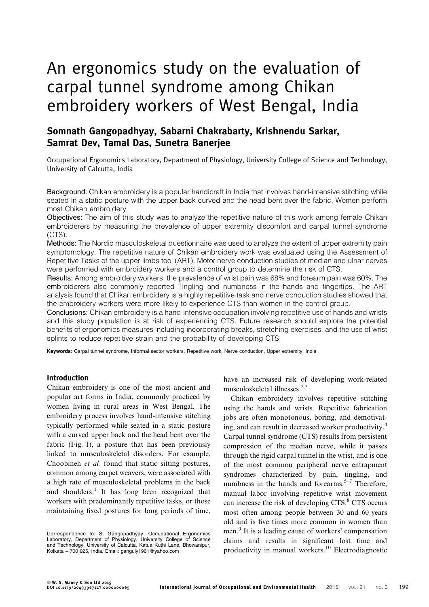# An ergonomics study on the evaluation of carpal tunnel syndrome among Chikan embroidery workers of West Bengal, India

# Somnath Gangopadhyay, Sabarni Chakrabarty, Krishnendu Sarkar, Samrat Dev, Tamal Das, Sunetra Banerjee

Occupational Ergonomics Laboratory, Department of Physiology, University College of Science and Technology, University of Calcutta, India

Background: Chikan embroidery is a popular handicraft in India that involves hand-intensive stitching while seated in a static posture with the upper back curved and the head bent over the fabric. Women perform most Chikan embroidery.

Objectives: The aim of this study was to analyze the repetitive nature of this work among female Chikan embroiderers by measuring the prevalence of upper extremity discomfort and carpal tunnel syndrome (CTS).

Methods: The Nordic musculoskeletal questionnaire was used to analyze the extent of upper extremity pain symptomology. The repetitive nature of Chikan embroidery work was evaluated using the Assessment of Repetitive Tasks of the upper limbs tool (ART). Motor nerve conduction studies of median and ulnar nerves were performed with embroidery workers and a control group to determine the risk of CTS.

Results: Among embroidery workers, the prevalence of wrist pain was 68% and forearm pain was 60%. The embroiderers also commonly reported Tingling and numbness in the hands and fingertips. The ART analysis found that Chikan embroidery is a highly repetitive task and nerve conduction studies showed that the embroidery workers were more likely to experience CTS than women in the control group.

Conclusions: Chikan embroidery is a hand-intensive occupation involving repetitive use of hands and wrists and this study population is at risk of experiencing CTS. Future research should explore the potential benefits of ergonomics measures including incorporating breaks, stretching exercises, and the use of wrist splints to reduce repetitive strain and the probability of developing CTS.

Keywords: Carpal tunnel syndrome, Informal sector workers, Repetitive work, Nerve conduction, Upper extremity, India

# Introduction

Chikan embroidery is one of the most ancient and popular art forms in India, commonly practiced by women living in rural areas in West Bengal. The embroidery process involves hand-intensive stitching typically performed while seated in a static posture with a curved upper back and the head bent over the fabric (Fig. 1), a posture that has been previously linked to musculoskeletal disorders. For example, Choobineh et al. found that static sitting postures, common among carpet weavers, were associated with a high rate of musculoskeletal problems in the back and shoulders.<sup>1</sup> It has long been recognized that workers with predominantly repetitive tasks, or those maintaining fixed postures for long periods of time, have an increased risk of developing work-related musculoskeletal illnesses.2,3

Chikan embroidery involves repetitive stitching using the hands and wrists. Repetitive fabrication jobs are often monotonous, boring, and demotivating, and can result in decreased worker productivity.<sup>4</sup> Carpal tunnel syndrome (CTS) results from persistent compression of the median nerve, while it passes through the rigid carpal tunnel in the wrist, and is one of the most common peripheral nerve entrapment syndromes characterized by pain, tingling, and numbness in the hands and forearms. $5-7$  Therefore, manual labor involving repetitive wrist movement can increase the risk of developing CTS.<sup>8</sup> CTS occurs most often among people between 30 and 60 years old and is five times more common in women than men.<sup>9</sup> It is a leading cause of workers' compensation claims and results in significant lost time and productivity in manual workers.<sup>10</sup> Electrodiagnostic

Correspondence to: S. Gangopadhyay, Occupational Ergonomics Laboratory, Department of Physiology, University College of Science and Technology, University of Calcutta, Katua Kuthi Lane, Bhowanipur, Kolkata – 700 025, India. Email: ganguly1961@yahoo.com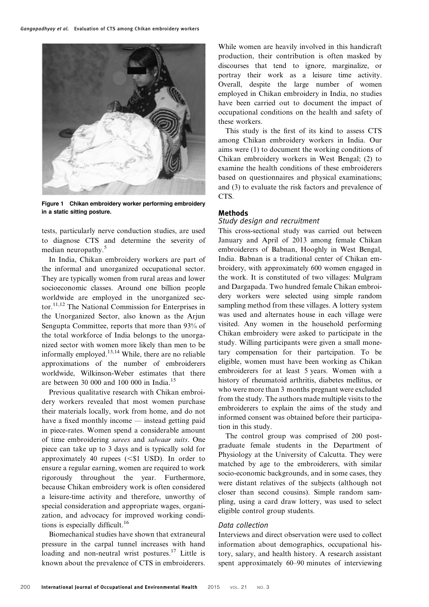

Figure 1 Chikan embroidery worker performing embroidery in a static sitting posture.

tests, particularly nerve conduction studies, are used to diagnose CTS and determine the severity of median neuropathy.<sup>5</sup>

In India, Chikan embroidery workers are part of the informal and unorganized occupational sector. They are typically women from rural areas and lower socioeconomic classes. Around one billion people worldwide are employed in the unorganized sector.<sup>11,12</sup> The National Commission for Enterprises in the Unorganized Sector, also known as the Arjun Sengupta Committee, reports that more than 93% of the total workforce of India belongs to the unorganized sector with women more likely than men to be informally employed.<sup>13,14</sup> While, there are no reliable approximations of the number of embroiderers worldwide, Wilkinson-Weber estimates that there are between 30 000 and 100 000 in India.<sup>15</sup>

Previous qualitative research with Chikan embroidery workers revealed that most women purchase their materials locally, work from home, and do not have a fixed monthly income — instead getting paid in piece-rates. Women spend a considerable amount of time embroidering sarees and salwaar suits. One piece can take up to 3 days and is typically sold for approximately 40 rupees  $( $$1$  USD). In order to$ ensure a regular earning, women are required to work rigorously throughout the year. Furthermore, because Chikan embroidery work is often considered a leisure-time activity and therefore, unworthy of special consideration and appropriate wages, organization, and advocacy for improved working conditions is especially difficult.<sup>16</sup>

Biomechanical studies have shown that extraneural pressure in the carpal tunnel increases with hand loading and non-neutral wrist postures.<sup>17</sup> Little is known about the prevalence of CTS in embroiderers.

While women are heavily involved in this handicraft production, their contribution is often masked by discourses that tend to ignore, marginalize, or portray their work as a leisure time activity. Overall, despite the large number of women employed in Chikan embroidery in India, no studies have been carried out to document the impact of occupational conditions on the health and safety of these workers.

This study is the first of its kind to assess CTS among Chikan embroidery workers in India. Our aims were (1) to document the working conditions of Chikan embroidery workers in West Bengal; (2) to examine the health conditions of these embroiderers based on questionnaires and physical examinations; and (3) to evaluate the risk factors and prevalence of CTS.

# **Methods**

#### Study design and recruitment

This cross-sectional study was carried out between January and April of 2013 among female Chikan embroiderers of Babnan, Hooghly in West Bengal, India. Babnan is a traditional center of Chikan embroidery, with approximately 600 women engaged in the work. It is constituted of two villages: Mulgram and Dargapada. Two hundred female Chikan embroidery workers were selected using simple random sampling method from these villages. A lottery system was used and alternates house in each village were visited. Any women in the household performing Chikan embroidery were asked to participate in the study. Willing participants were given a small monetary compensation for their partcipation. To be eligible, women must have been working as Chikan embroiderers for at least 5 years. Women with a history of rheumatoid arthritis, diabetes mellitus, or who were more than 3 months pregnant were excluded from the study. The authors made multiple visits to the embroiderers to explain the aims of the study and informed consent was obtained before their participation in this study.

The control group was comprised of 200 postgraduate female students in the Department of Physiology at the University of Calcutta. They were matched by age to the embroiderers, with similar socio-economic backgrounds, and in some cases, they were distant relatives of the subjects (although not closer than second cousins). Simple random sampling, using a card draw lottery, was used to select eligible control group students.

# Data collection

Interviews and direct observation were used to collect information about demographics, occupational history, salary, and health history. A research assistant spent approximately 60–90 minutes of interviewing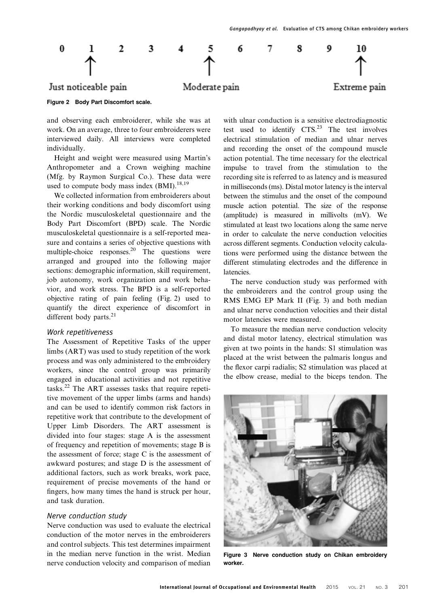

Figure 2 Body Part Discomfort scale.

and observing each embroiderer, while she was at work. On an average, three to four embroiderers were interviewed daily. All interviews were completed individually.

Height and weight were measured using Martin's Anthropometer and a Crown weighing machine (Mfg. by Raymon Surgical Co.). These data were used to compute body mass index (BMI).<sup>18,19</sup>

We collected information from embroiderers about their working conditions and body discomfort using the Nordic musculoskeletal questionnaire and the Body Part Discomfort (BPD) scale. The Nordic musculoskeletal questionnaire is a self-reported measure and contains a series of objective questions with multiple-choice responses.<sup>20</sup> The questions were arranged and grouped into the following major sections: demographic information, skill requirement, job autonomy, work organization and work behavior, and work stress. The BPD is a self-reported objective rating of pain feeling (Fig. 2) used to quantify the direct experience of discomfort in different body parts.<sup>21</sup>

#### Work repetitiveness

The Assessment of Repetitive Tasks of the upper limbs (ART) was used to study repetition of the work process and was only administered to the embroidery workers, since the control group was primarily engaged in educational activities and not repetitive tasks.22 The ART assesses tasks that require repetitive movement of the upper limbs (arms and hands) and can be used to identify common risk factors in repetitive work that contribute to the development of Upper Limb Disorders. The ART assessment is divided into four stages: stage A is the assessment of frequency and repetition of movements; stage B is the assessment of force; stage C is the assessment of awkward postures; and stage D is the assessment of additional factors, such as work breaks, work pace, requirement of precise movements of the hand or fingers, how many times the hand is struck per hour, and task duration.

# Nerve conduction study

Nerve conduction was used to evaluate the electrical conduction of the motor nerves in the embroiderers and control subjects. This test determines impairment in the median nerve function in the wrist. Median nerve conduction velocity and comparison of median

with ulnar conduction is a sensitive electrodiagnostic test used to identify  $CTS<sup>23</sup>$  The test involves electrical stimulation of median and ulnar nerves and recording the onset of the compound muscle action potential. The time necessary for the electrical impulse to travel from the stimulation to the recording site is referred to as latency and is measured in milliseconds (ms). Distal motor latency is the interval between the stimulus and the onset of the compound muscle action potential. The size of the response (amplitude) is measured in millivolts (mV). We stimulated at least two locations along the same nerve in order to calculate the nerve conduction velocities across different segments. Conduction velocity calculations were performed using the distance between the different stimulating electrodes and the difference in latencies.

The nerve conduction study was performed with the embroiderers and the control group using the RMS EMG EP Mark II (Fig. 3) and both median and ulnar nerve conduction velocities and their distal motor latencies were measured.

To measure the median nerve conduction velocity and distal motor latency, electrical stimulation was given at two points in the hands: S1 stimulation was placed at the wrist between the palmaris longus and the flexor carpi radialis; S2 stimulation was placed at the elbow crease, medial to the biceps tendon. The



Figure 3 Nerve conduction study on Chikan embroidery worker.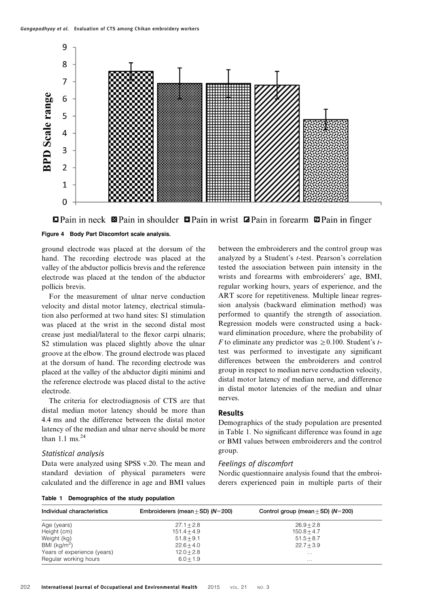

**□** Pain in neck **■** Pain in shoulder ■ Pain in wrist ■ Pain in forearm ■ Pain in finger

#### Figure 4 Body Part Discomfort scale analysis.

ground electrode was placed at the dorsum of the hand. The recording electrode was placed at the valley of the abductor pollicis brevis and the reference electrode was placed at the tendon of the abductor pollicis brevis.

For the measurement of ulnar nerve conduction velocity and distal motor latency, electrical stimulation also performed at two hand sites: S1 stimulation was placed at the wrist in the second distal most crease just medial/lateral to the flexor carpi ulnaris; S2 stimulation was placed slightly above the ulnar groove at the elbow. The ground electrode was placed at the dorsum of hand. The recording electrode was placed at the valley of the abductor digiti minimi and the reference electrode was placed distal to the active electrode.

The criteria for electrodiagnosis of CTS are that distal median motor latency should be more than 4.4 ms and the difference between the distal motor latency of the median and ulnar nerve should be more than 1.1 ms. $^{24}$ 

# Statistical analysis

Data were analyzed using SPSS v.20. The mean and standard deviation of physical parameters were calculated and the difference in age and BMI values

Table 1 Demographics of the study population

between the embroiderers and the control group was analyzed by a Student's t-test. Pearson's correlation tested the association between pain intensity in the wrists and forearms with embroiderers' age, BMI, regular working hours, years of experience, and the ART score for repetitiveness. Multiple linear regression analysis (backward elimination method) was performed to quantify the strength of association. Regression models were constructed using a backward elimination procedure, where the probability of F to eliminate any predictor was  $\geq 0.100$ . Student's ttest was performed to investigate any significant differences between the embroiderers and control group in respect to median nerve conduction velocity, distal motor latency of median nerve, and difference in distal motor latencies of the median and ulnar nerves.

# Results

Demographics of the study population are presented in Table 1. No significant difference was found in age or BMI values between embroiderers and the control group.

#### Feelings of discomfort

Nordic questionnaire analysis found that the embroiderers experienced pain in multiple parts of their

| Individual characteristics  | Embroiderers (mean + SD) $(N=200)$ | Control group (mean $\pm$ SD) (N=200) |
|-----------------------------|------------------------------------|---------------------------------------|
| Age (years)                 | $27.1 + 2.8$                       | $26.9 + 2.8$                          |
| Height (cm)                 | $151.4 + 4.9$                      | $150.8 + 4.7$                         |
| Weight (kg)                 | $51.8 + 9.1$                       | $51.5 + 8.7$                          |
| BMI ( $kg/m2$ )             | $22.6 + 4.0$                       | $22.7 + 3.9$                          |
| Years of experience (years) | $12.0 + 2.8$                       | .                                     |
| Regular working hours       | $6.0 + 1.9$                        | $\cdots$                              |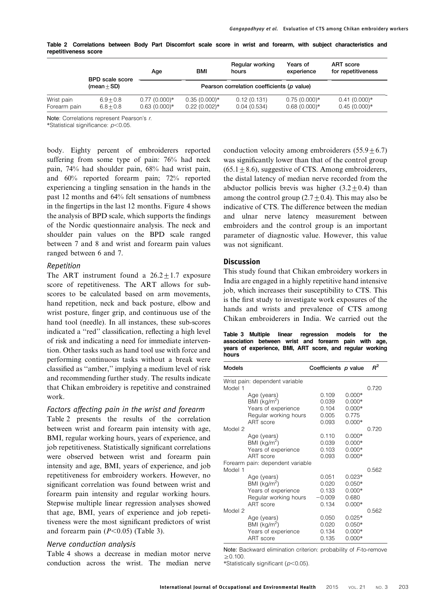|                            | <b>BPD</b> scale score     | Age                                        | BMI                              | Regular working<br>hours   | Years of<br>experience           | <b>ART</b> score<br>for repetitiveness |
|----------------------------|----------------------------|--------------------------------------------|----------------------------------|----------------------------|----------------------------------|----------------------------------------|
|                            | $(mean + SD)$              | Pearson correlation coefficients (p value) |                                  |                            |                                  |                                        |
| Wrist pain<br>Forearm pain | $6.9 + 0.8$<br>$6.8 + 0.8$ | $0.77(0.000)*$<br>$0.63(0.000)*$           | $0.35(0.000)*$<br>$0.22(0.002)*$ | 0.12(0.131)<br>0.04(0.534) | $0.75(0.000)*$<br>$0.68(0.000)*$ | $0.41(0.000)*$<br>$0.45(0.000)*$       |

Table 2 Correlations between Body Part Discomfort scale score in wrist and forearm, with subject characteristics and repetitiveness score

Note: Correlations represent Pearson's r.

\*Statistical significance:  $p<0.05$ .

body. Eighty percent of embroiderers reported suffering from some type of pain: 76% had neck pain, 74% had shoulder pain, 68% had wrist pain, and 60% reported forearm pain; 72% reported experiencing a tingling sensation in the hands in the past 12 months and 64% felt sensations of numbness in the fingertips in the last 12 months. Figure 4 shows the analysis of BPD scale, which supports the findings of the Nordic questionnaire analysis. The neck and shoulder pain values on the BPD scale ranged between 7 and 8 and wrist and forearm pain values ranged between 6 and 7.

#### Repetition

The ART instrument found a  $26.2 + 1.7$  exposure score of repetitiveness. The ART allows for subscores to be calculated based on arm movements, hand repetition, neck and back posture, elbow and wrist posture, finger grip, and continuous use of the hand tool (needle). In all instances, these sub-scores indicated a ''red'' classification, reflecting a high level of risk and indicating a need for immediate intervention. Other tasks such as hand tool use with force and performing continuous tasks without a break were classified as ''amber,'' implying a medium level of risk and recommending further study. The results indicate that Chikan embroidery is repetitive and constrained work.

# Factors affecting pain in the wrist and forearm

Table 2 presents the results of the correlation between wrist and forearm pain intensity with age, BMI, regular working hours, years of experience, and job repetitiveness. Statistically significant correlations were observed between wrist and forearm pain intensity and age, BMI, years of experience, and job repetitiveness for embroidery workers. However, no significant correlation was found between wrist and forearm pain intensity and regular working hours. Stepwise multiple linear regression analyses showed that age, BMI, years of experience and job repetitiveness were the most significant predictors of wrist and forearm pain  $(P<0.05)$  (Table 3).

# Nerve conduction analysis

Table 4 shows a decrease in median motor nerve conduction across the wrist. The median nerve conduction velocity among embroiderers  $(55.9 \pm 6.7)$ was significantly lower than that of the control group  $(65.1 \pm 8.6)$ , suggestive of CTS. Among embroiderers, the distal latency of median nerve recorded from the abductor pollicis brevis was higher  $(3.2+0.4)$  than among the control group  $(2.7 \pm 0.4)$ . This may also be indicative of CTS. The difference between the median and ulnar nerve latency measurement between embroiders and the control group is an important parameter of diagnostic value. However, this value was not significant.

#### **Discussion**

This study found that Chikan embroidery workers in India are engaged in a highly repetitive hand intensive job, which increases their susceptibility to CTS. This is the first study to investigate work exposures of the hands and wrists and prevalence of CTS among Chikan embroiderers in India. We carried out the

Table 3 Multiple linear regression models for the association between wrist and forearm pain with age, years of experience, BMI, ART score, and regular working hours

| Models                         |                                  | Coefficients p value |          | $R^2$ |  |
|--------------------------------|----------------------------------|----------------------|----------|-------|--|
| Wrist pain: dependent variable |                                  |                      |          |       |  |
| Model 1                        |                                  |                      |          | 0.720 |  |
|                                | Age (years)                      | 0.109                | $0.000*$ |       |  |
|                                | BMI ( $kg/m2$ )                  | 0.039                | $0.000*$ |       |  |
|                                | Years of experience              | 0.104                | $0.000*$ |       |  |
|                                | Regular working hours            | 0.005                | 0.775    |       |  |
|                                | ART score                        | 0.093                | $0.000*$ |       |  |
| Model 2                        |                                  |                      |          | 0.720 |  |
|                                | Age (years)                      | 0.110                | $0.000*$ |       |  |
|                                | BMI (kg/m <sup>2</sup> )         | 0.039                | $0.000*$ |       |  |
|                                | Years of experience              | 0.103                | $0.000*$ |       |  |
|                                | ART score                        | 0.093                | $0.000*$ |       |  |
|                                | Forearm pain: dependent variable |                      |          |       |  |
| Model 1                        |                                  |                      |          | 0.562 |  |
|                                | Age (years)                      | 0.051                | $0.023*$ |       |  |
|                                | BMI ( $kg/m2$ )                  | 0.020                | $0.050*$ |       |  |
|                                | Years of experience              | 0.133                | $0.000*$ |       |  |
|                                | Regular working hours            | $-0.009$             | 0.680    |       |  |
|                                | ART score                        | 0.134                | $0.000*$ |       |  |
| Model 2                        |                                  |                      |          | 0.562 |  |
|                                |                                  |                      |          |       |  |
|                                | Age (years)                      | 0.050                | $0.025*$ |       |  |
|                                | BMI ( $kg/m2$ )                  | 0.020                | $0.050*$ |       |  |
|                                | Years of experience              | 0.134                | $0.000*$ |       |  |
|                                | ART score                        | 0.135                | $0.000*$ |       |  |

Note: Backward elimination criterion: probability of F-to-remove  $>0.100$ .

\*Statistically significant ( $p$ <0.05).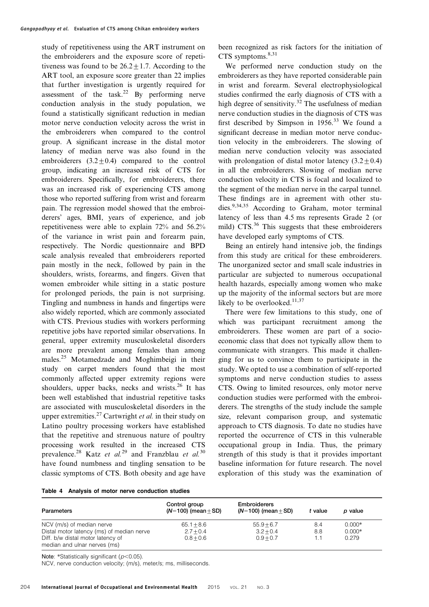study of repetitiveness using the ART instrument on the embroiderers and the exposure score of repetitiveness was found to be  $26.2 \pm 1.7$ . According to the ART tool, an exposure score greater than 22 implies that further investigation is urgently required for assessment of the task.<sup>22</sup> By performing nerve conduction analysis in the study population, we found a statistically significant reduction in median motor nerve conduction velocity across the wrist in the embroiderers when compared to the control group. A significant increase in the distal motor latency of median nerve was also found in the embroiderers  $(3.2 \pm 0.4)$  compared to the control group, indicating an increased risk of CTS for embroiderers. Specifically, for embroiderers, there was an increased risk of experiencing CTS among those who reported suffering from wrist and forearm pain. The regression model showed that the embroiderers' ages, BMI, years of experience, and job repetitiveness were able to explain 72% and 56.2% of the variance in wrist pain and forearm pain, respectively. The Nordic questionnaire and BPD scale analysis revealed that embroiderers reported pain mostly in the neck, followed by pain in the shoulders, wrists, forearms, and fingers. Given that women embroider while sitting in a static posture for prolonged periods, the pain is not surprising. Tingling and numbness in hands and fingertips were also widely reported, which are commonly associated with CTS. Previous studies with workers performing repetitive jobs have reported similar observations. In general, upper extremity musculoskeletal disorders are more prevalent among females than among males.25 Motamedzade and Moghimbeigi in their study on carpet menders found that the most commonly affected upper extremity regions were shoulders, upper backs, necks and wrists. $^{26}$  It has been well established that industrial repetitive tasks are associated with musculoskeletal disorders in the upper extremities.<sup>27</sup> Cartwright *et al.* in their study on Latino poultry processing workers have established that the repetitive and strenuous nature of poultry processing work resulted in the increased CTS prevalence.<sup>28</sup> Katz et al.<sup>29</sup> and Franzblau et al.<sup>30</sup> have found numbness and tingling sensation to be classic symptoms of CTS. Both obesity and age have

been recognized as risk factors for the initiation of CTS symptoms. $8,31$ 

We performed nerve conduction study on the embroiderers as they have reported considerable pain in wrist and forearm. Several electrophysiological studies confirmed the early diagnosis of CTS with a high degree of sensitivity.<sup>32</sup> The usefulness of median nerve conduction studies in the diagnosis of CTS was first described by Simpson in  $1956$ .<sup>33</sup> We found a significant decrease in median motor nerve conduction velocity in the embroiderers. The slowing of median nerve conduction velocity was associated with prolongation of distal motor latency  $(3.2 \pm 0.4)$ in all the embroiderers. Slowing of median nerve conduction velocity in CTS is focal and localized to the segment of the median nerve in the carpal tunnel. These findings are in agreement with other studies.<sup>9,34,35</sup> According to Graham, motor terminal latency of less than 4.5 ms represents Grade 2 (or mild) CTS. $36$  This suggests that these embroiderers have developed early symptoms of CTS.

Being an entirely hand intensive job, the findings from this study are critical for these embroiderers. The unorganized sector and small scale industries in particular are subjected to numerous occupational health hazards, especially among women who make up the majority of the informal sectors but are more likely to be overlooked.<sup>11,37</sup>

There were few limitations to this study, one of which was participant recruitment among the embroiderers. These women are part of a socioeconomic class that does not typically allow them to communicate with strangers. This made it challenging for us to convince them to participate in the study. We opted to use a combination of self-reported symptoms and nerve conduction studies to assess CTS. Owing to limited resources, only motor nerve conduction studies were performed with the embroiderers. The strengths of the study include the sample size, relevant comparison group, and systematic approach to CTS diagnosis. To date no studies have reported the occurrence of CTS in this vulnerable occupational group in India. Thus, the primary strength of this study is that it provides important baseline information for future research. The novel exploration of this study was the examination of

Table 4 Analysis of motor nerve conduction studies

| Parameters                                                        | Control group<br>$(N=100)$ (mean + SD) | <b>Embroiderers</b><br>$(N=100)$ (mean + SD) | t value | p value  |  |
|-------------------------------------------------------------------|----------------------------------------|----------------------------------------------|---------|----------|--|
| NCV (m/s) of median nerve                                         | $65.1 + 8.6$                           | $55.9 + 6.7$                                 | 8.4     | $0.000*$ |  |
| Distal motor latency (ms) of median nerve                         | $2.7 + 0.4$                            | $3.2 + 0.4$                                  | 8.8     | $0.000*$ |  |
| Diff. b/w distal motor latency of<br>median and ulnar nerves (ms) | $0.8 + 0.6$                            | $0.9 + 0.7$                                  |         | 0.279    |  |

Note: \*Statistically significant ( $p$ <0.05).

NCV, nerve conduction velocity; (m/s), meter/s; ms, milliseconds.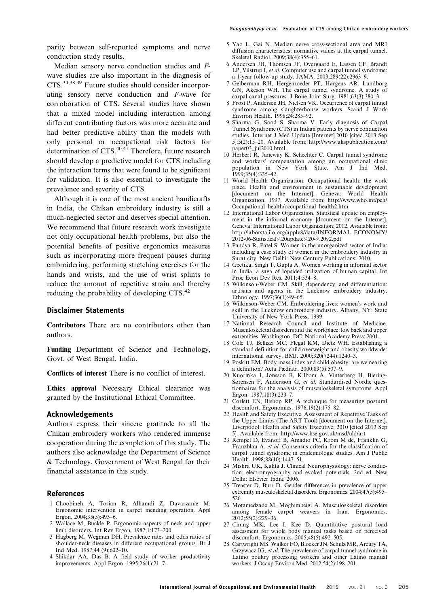parity between self-reported symptoms and nerve conduction study results.

Median sensory nerve conduction studies and Fwave studies are also important in the diagnosis of CTS.34,38,39 Future studies should consider incorporating sensory nerve conduction and F-wave for corroboration of CTS. Several studies have shown that a mixed model including interaction among different contributing factors was more accurate and had better predictive ability than the models with only personal or occupational risk factors for determination of  $CTS<sub>1</sub><sup>40,41</sup>$  Therefore, future research should develop a predictive model for CTS including the interaction terms that were found to be significant for validation. It is also essential to investigate the prevalence and severity of CTS.

Although it is one of the most ancient handicrafts in India, the Chikan embroidery industry is still a much-neglected sector and deserves special attention. We recommend that future research work investigate not only occupational health problems, but also the potential benefits of positive ergonomics measures such as incorporating more frequent pauses during embroidering, performing stretching exercises for the hands and wrists, and the use of wrist splints to reduce the amount of repetitive strain and thereby reducing the probability of developing CTS.<sup>42</sup>

#### Disclaimer Statements

Contributors There are no contributors other than authors.

Funding Department of Science and Technology, Govt. of West Bengal, India.

Conflicts of interest There is no conflict of interest.

Ethics approval Necessary Ethical clearance was granted by the Institutional Ethical Committee.

#### Acknowledgements

Authors express their sincere gratitude to all the Chikan embroidery workers who rendered immense cooperation during the completion of this study. The authors also acknowledge the Department of Science & Technology, Government of West Bengal for their financial assistance in this study.

#### References

- 1 Choobineh A, Tosian R, Alhamdi Z, Davarzanie M. Ergonomic intervention in carpet mending operation. Appl Ergon. 2004;35(5):493–6.
- 2 Wallace M, Buckle P. Ergonomic aspects of neck and upper limb disorders. Int Rev Ergon. 1987;1:173–200.
- 3 Hagberg M, Wegman DH. Prevalence rates and odds ratios of shoulder-neck diseases in different occupational groups. Br J Ind Med. 1987;44 (9):602–10.
- 4 Shikdar AA, Das B. A field study of worker productivity improvements. Appl Ergon. 1995;26(1):21–7.
- 5 Yao L, Gai N. Median nerve cross-sectional area and MRI diffusion characteristics: normative values at the carpal tunnel. Skeletal Radiol. 2009;38(4):355–61.
- 6 Andersen JH, Thomsen JF, Overgaard E, Lassen CF, Brandt LP, Vilstrup I, et al. Computer use and carpal tunnel syndrome: a 1-year follow-up study. JAMA. 2003;289(22):2963–9.
- 7 Gelberman RH, Hergenroeder PT, Hargens AR, Lundborg GN, Akeson WH. The carpal tunnel syndrome. A study of carpal canal pressures. J Bone Joint Surg. 1981;63(3):380–3.
- 8 Frost P, Andersen JH, Nielsen VK. Occurrence of carpal tunnel syndrome among slaughterhouse workers. Scand J Work Environ Health. 1998;24:285–92.
- 9 Sharma G, Sood S, Sharma V. Early diagnosis of Carpal Tunnel Syndrome (CTS) in Indian patients by nerve conduction studies. Internet J Med Update [Internet].2010 [cited 2013 Sep 5];5(2):15–20. Available from: http://www.akspublication.com/ paper03\_jul2010.html
- 10 Herbert R, Janeway K, Schechter C. Carpal tunnel syndrome and workers' compensation among an occupational clinic population in New York State. Am J Ind Med. 1999;35(4):335–42.
- 11 World Health Organization. Occupational health: the work place. Health and environment in sustainable development [document on the Internet]. Geneva: World Health Organization; 1997. Available from: http://www.who.int/peh/ Occupational\_health/occupational\_health2.htm
- 12 International Labor Organization. Statistical update on employment in the informal economy [document on the Internet]. Geneva: International Labor Organization; 2012. Available from: http://laborsta.ilo.org/applv8/data/INFORMAL\_ECONOMY/ 2012-06-Statistical%20update%20-%20v2.pdf
- 13 Pandya R, Patel S. Women in the unorganized sector of India: including a case study of women in the embroidery industry in Surat city. New Delhi: New Century Publications; 2010.
- 14 Geetika, Singh T, Gupta A. Women working in informal sector in India: a saga of lopsided utilization of human capital. Int Proc Econ Dev Res. 2011;4:534–8.
- 15 Wilkinson-Weber CM. Skill, dependency, and differentiation: artisans and agents in the Lucknow embroidery industry. Ethnology. 1997;36(1):49–65.
- 16 Wilkinson-Weber CM. Embroidering lives: women's work and skill in the Lucknow embroidery industry. Albany, NY: State University of New York Press; 1999.
- 17 National Research Council and Institute of Medicine. Musculoskeletal disorders and the workplace: low back and upper extremities. Washington, DC: National Academy Press; 2001.
- 18 Cole TJ, Bellizzi MC, Flegal KM, Dietz WH. Establishing a standard definition for child overweight and obesity worldwide: international survey. BMJ. 2000;320(7244):1240–3.
- 19 Poskitt EM. Body mass index and child obesity: are we nearing a definition? Acta Pædiatr. 2000;89(5):507–9.
- 20 Kuorinka I, Jonsson B, Kilbom A, Vinterberg H, Biering-Sørensen F, Andersson G, et al. Standardised Nordic questionnaires for the analysis of musculoskeletal symptoms. Appl Ergon. 1987;18(3):233–7.
- 21 Corlett EN, Bishop RP. A technique for measuring postural discomfort. Ergonomics. 1976;19(2):175–82.
- 22 Health and Safety Executive. Assessment of Repetitive Tasks of the Upper Limbs (The ART Tool) [document on the Internet]. Liverpoool: Health and Safety Executive; 2010 [cited 2013 Sep 5]. Available from: http://www.hse.gov.uk/msd/uld/art
- 23 Rempel D, Evanoff B, Amadio PC, Krom M de, Franklin G, Franzblau A, et al. Consensus criteria for the classification of carpal tunnel syndrome in epidemiologic studies. Am J Public Health. 1998;88(10):1447–51.
- 24 Mishra UK, Kalita J. Clinical Neurophysiology: nerve conduction, electromyography and evoked potentials. 2nd ed. New Delhi: Elsevier India; 2006.
- 25 Treaster D, Burr D. Gender differences in prevalence of upper extremity musculoskeletal disorders. Ergonomics. 2004;47(5):495– 526.
- 26 Motamedzade M, Moghimbeigi A. Musculoskeletal disorders among female carpet weavers in Iran. Ergonomics. 2012;55(2):229–36.
- 27 Chung MK, Lee I, Kee D. Quantitative postural load assessment for whole body manual tasks based on perceived discomfort. Ergonomics. 2005;48(5):492–505.
- 28 Cartwright MS, Walker FO, Blocker JN, Schulz MR, Arcury TA, Grzywacz JG, et al. The prevalence of carpal tunnel syndrome in Latino poultry processing workers and other Latino manual workers. J Occup Environ Med. 2012;54(2):198–201.